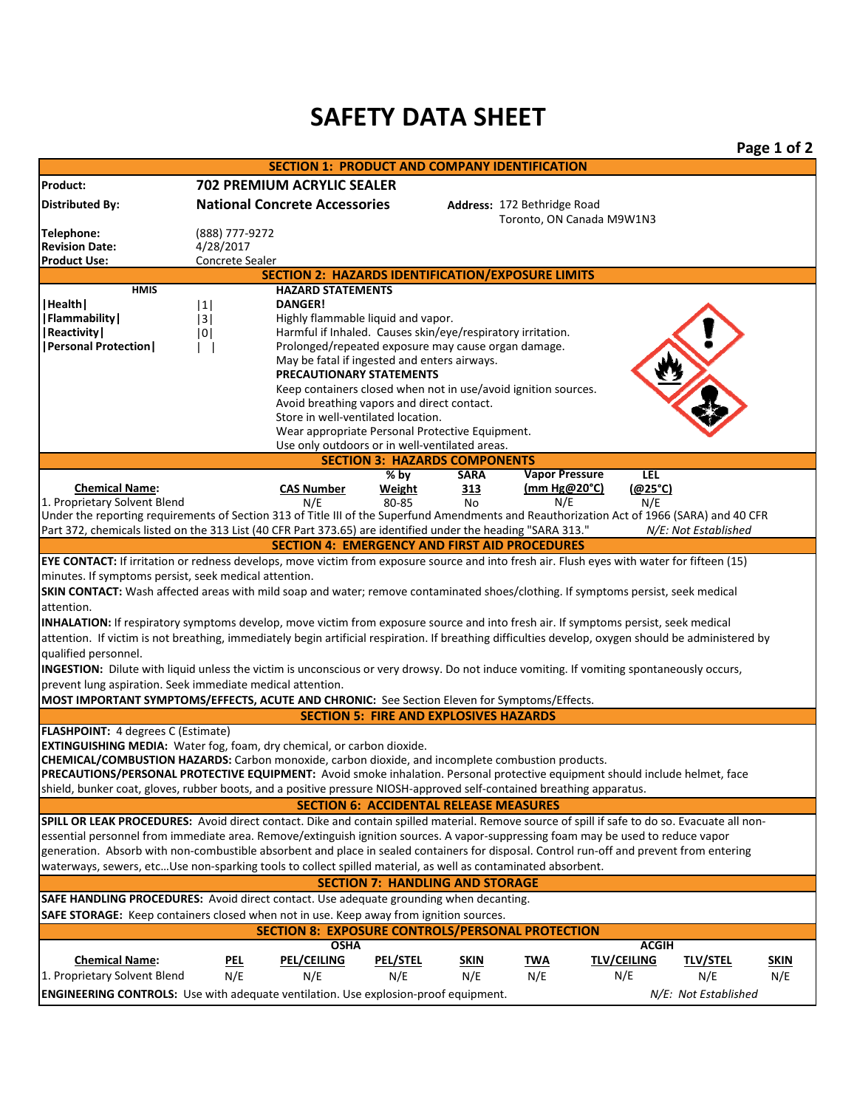## **SAFETY DATA SHEET**

|                                                                                                                                                                                                      |                                                                |                                                                                                                     |                                               |                    |                             |                           |                        | Page 1 of 2        |
|------------------------------------------------------------------------------------------------------------------------------------------------------------------------------------------------------|----------------------------------------------------------------|---------------------------------------------------------------------------------------------------------------------|-----------------------------------------------|--------------------|-----------------------------|---------------------------|------------------------|--------------------|
|                                                                                                                                                                                                      |                                                                | <b>SECTION 1: PRODUCT AND COMPANY IDENTIFICATION</b>                                                                |                                               |                    |                             |                           |                        |                    |
| Product:                                                                                                                                                                                             |                                                                | <b>702 PREMIUM ACRYLIC SEALER</b>                                                                                   |                                               |                    |                             |                           |                        |                    |
| <b>Distributed By:</b>                                                                                                                                                                               |                                                                | <b>National Concrete Accessories</b>                                                                                |                                               |                    | Address: 172 Bethridge Road |                           |                        |                    |
|                                                                                                                                                                                                      |                                                                |                                                                                                                     |                                               |                    | Toronto, ON Canada M9W1N3   |                           |                        |                    |
| Telephone:<br><b>Revision Date:</b>                                                                                                                                                                  | (888) 777-9272<br>4/28/2017                                    |                                                                                                                     |                                               |                    |                             |                           |                        |                    |
| <b>Product Use:</b>                                                                                                                                                                                  | Concrete Sealer                                                |                                                                                                                     |                                               |                    |                             |                           |                        |                    |
| <b>SECTION 2: HAZARDS IDENTIFICATION/EXPOSURE LIMITS</b>                                                                                                                                             |                                                                |                                                                                                                     |                                               |                    |                             |                           |                        |                    |
| <b>HMIS</b>                                                                                                                                                                                          |                                                                | <b>HAZARD STATEMENTS</b>                                                                                            |                                               |                    |                             |                           |                        |                    |
| Health                                                                                                                                                                                               | 1                                                              | <b>DANGER!</b>                                                                                                      |                                               |                    |                             |                           |                        |                    |
| Flammability                                                                                                                                                                                         | 3                                                              | Highly flammable liquid and vapor.                                                                                  |                                               |                    |                             |                           |                        |                    |
| Reactivity                                                                                                                                                                                           | 0                                                              | Harmful if Inhaled. Causes skin/eye/respiratory irritation.                                                         |                                               |                    |                             |                           |                        |                    |
| <b> Personal Protection </b>                                                                                                                                                                         |                                                                | Prolonged/repeated exposure may cause organ damage.<br>$\mathbf{L}$<br>May be fatal if ingested and enters airways. |                                               |                    |                             |                           |                        |                    |
|                                                                                                                                                                                                      | <b>PRECAUTIONARY STATEMENTS</b>                                |                                                                                                                     |                                               |                    |                             |                           |                        |                    |
|                                                                                                                                                                                                      | Keep containers closed when not in use/avoid ignition sources. |                                                                                                                     |                                               |                    |                             |                           |                        |                    |
|                                                                                                                                                                                                      | Avoid breathing vapors and direct contact.                     |                                                                                                                     |                                               |                    |                             |                           |                        |                    |
|                                                                                                                                                                                                      |                                                                | Store in well-ventilated location.                                                                                  |                                               |                    |                             |                           |                        |                    |
|                                                                                                                                                                                                      |                                                                | Wear appropriate Personal Protective Equipment.                                                                     |                                               |                    |                             |                           |                        |                    |
| Use only outdoors or in well-ventilated areas.<br><b>SECTION 3: HAZARDS COMPONENTS</b>                                                                                                               |                                                                |                                                                                                                     |                                               |                    |                             |                           |                        |                    |
|                                                                                                                                                                                                      |                                                                |                                                                                                                     | % by                                          | <b>SARA</b>        | <b>Vapor Pressure</b>       | LEL                       |                        |                    |
| <b>Chemical Name:</b>                                                                                                                                                                                |                                                                | <b>CAS Number</b>                                                                                                   | Weight                                        | 313                | (mm Hg@20°C)                | (@25°C)                   |                        |                    |
| 1. Proprietary Solvent Blend                                                                                                                                                                         |                                                                | N/E                                                                                                                 | 80-85                                         | No                 | N/E                         | N/E                       |                        |                    |
| Under the reporting requirements of Section 313 of Title III of the Superfund Amendments and Reauthorization Act of 1966 (SARA) and 40 CFR                                                           |                                                                |                                                                                                                     |                                               |                    |                             |                           |                        |                    |
| Part 372, chemicals listed on the 313 List (40 CFR Part 373.65) are identified under the heading "SARA 313."                                                                                         |                                                                | <b>SECTION 4: EMERGENCY AND FIRST AID PROCEDURES</b>                                                                |                                               |                    |                             |                           | N/E: Not Established   |                    |
|                                                                                                                                                                                                      |                                                                |                                                                                                                     |                                               |                    |                             |                           |                        |                    |
| EYE CONTACT: If irritation or redness develops, move victim from exposure source and into fresh air. Flush eyes with water for fifteen (15)<br>minutes. If symptoms persist, seek medical attention. |                                                                |                                                                                                                     |                                               |                    |                             |                           |                        |                    |
| SKIN CONTACT: Wash affected areas with mild soap and water; remove contaminated shoes/clothing. If symptoms persist, seek medical                                                                    |                                                                |                                                                                                                     |                                               |                    |                             |                           |                        |                    |
| attention.                                                                                                                                                                                           |                                                                |                                                                                                                     |                                               |                    |                             |                           |                        |                    |
| INHALATION: If respiratory symptoms develop, move victim from exposure source and into fresh air. If symptoms persist, seek medical                                                                  |                                                                |                                                                                                                     |                                               |                    |                             |                           |                        |                    |
| attention. If victim is not breathing, immediately begin artificial respiration. If breathing difficulties develop, oxygen should be administered by                                                 |                                                                |                                                                                                                     |                                               |                    |                             |                           |                        |                    |
| qualified personnel.                                                                                                                                                                                 |                                                                |                                                                                                                     |                                               |                    |                             |                           |                        |                    |
| INGESTION: Dilute with liquid unless the victim is unconscious or very drowsy. Do not induce vomiting. If vomiting spontaneously occurs,                                                             |                                                                |                                                                                                                     |                                               |                    |                             |                           |                        |                    |
| prevent lung aspiration. Seek immediate medical attention.                                                                                                                                           |                                                                |                                                                                                                     |                                               |                    |                             |                           |                        |                    |
| MOST IMPORTANT SYMPTOMS/EFFECTS, ACUTE AND CHRONIC: See Section Eleven for Symptoms/Effects.                                                                                                         |                                                                |                                                                                                                     |                                               |                    |                             |                           |                        |                    |
|                                                                                                                                                                                                      |                                                                |                                                                                                                     | <b>SECTION 5: FIRE AND EXPLOSIVES HAZARDS</b> |                    |                             |                           |                        |                    |
| FLASHPOINT: 4 degrees C (Estimate)                                                                                                                                                                   |                                                                |                                                                                                                     |                                               |                    |                             |                           |                        |                    |
| EXTINGUISHING MEDIA: Water fog, foam, dry chemical, or carbon dioxide.<br>CHEMICAL/COMBUSTION HAZARDS: Carbon monoxide, carbon dioxide, and incomplete combustion products.                          |                                                                |                                                                                                                     |                                               |                    |                             |                           |                        |                    |
| PRECAUTIONS/PERSONAL PROTECTIVE EQUIPMENT: Avoid smoke inhalation. Personal protective equipment should include helmet, face                                                                         |                                                                |                                                                                                                     |                                               |                    |                             |                           |                        |                    |
| shield, bunker coat, gloves, rubber boots, and a positive pressure NIOSH-approved self-contained breathing apparatus.                                                                                |                                                                |                                                                                                                     |                                               |                    |                             |                           |                        |                    |
|                                                                                                                                                                                                      |                                                                |                                                                                                                     | <b>SECTION 6: ACCIDENTAL RELEASE MEASURES</b> |                    |                             |                           |                        |                    |
| SPILL OR LEAK PROCEDURES: Avoid direct contact. Dike and contain spilled material. Remove source of spill if safe to do so. Evacuate all non-                                                        |                                                                |                                                                                                                     |                                               |                    |                             |                           |                        |                    |
| essential personnel from immediate area. Remove/extinguish ignition sources. A vapor-suppressing foam may be used to reduce vapor                                                                    |                                                                |                                                                                                                     |                                               |                    |                             |                           |                        |                    |
| generation. Absorb with non-combustible absorbent and place in sealed containers for disposal. Control run-off and prevent from entering                                                             |                                                                |                                                                                                                     |                                               |                    |                             |                           |                        |                    |
| waterways, sewers, etcUse non-sparking tools to collect spilled material, as well as contaminated absorbent.                                                                                         |                                                                |                                                                                                                     |                                               |                    |                             |                           |                        |                    |
| <b>SECTION 7: HANDLING AND STORAGE</b>                                                                                                                                                               |                                                                |                                                                                                                     |                                               |                    |                             |                           |                        |                    |
| SAFE HANDLING PROCEDURES: Avoid direct contact. Use adequate grounding when decanting.                                                                                                               |                                                                |                                                                                                                     |                                               |                    |                             |                           |                        |                    |
| SAFE STORAGE: Keep containers closed when not in use. Keep away from ignition sources.                                                                                                               |                                                                |                                                                                                                     |                                               |                    |                             |                           |                        |                    |
|                                                                                                                                                                                                      |                                                                | <b>SECTION 8: EXPOSURE CONTROLS/PERSONAL PROTECTION</b>                                                             |                                               |                    |                             |                           |                        |                    |
|                                                                                                                                                                                                      |                                                                | <b>OSHA</b>                                                                                                         |                                               |                    |                             | <b>ACGIH</b>              |                        |                    |
| <b>Chemical Name:</b><br>1. Proprietary Solvent Blend                                                                                                                                                | <u>pel</u><br>N/E                                              | <b>PEL/CEILING</b><br>N/E                                                                                           | <b>PEL/STEL</b><br>N/E                        | <b>SKIN</b><br>N/E | <u>TWA</u><br>N/E           | <b>TLV/CEILING</b><br>N/E | <b>TLV/STEL</b><br>N/E | <u>SKIN</u><br>N/E |
|                                                                                                                                                                                                      |                                                                |                                                                                                                     |                                               |                    |                             |                           |                        |                    |
| <b>ENGINEERING CONTROLS:</b> Use with adequate ventilation. Use explosion-proof equipment.                                                                                                           |                                                                |                                                                                                                     |                                               |                    |                             |                           | N/E: Not Established   |                    |